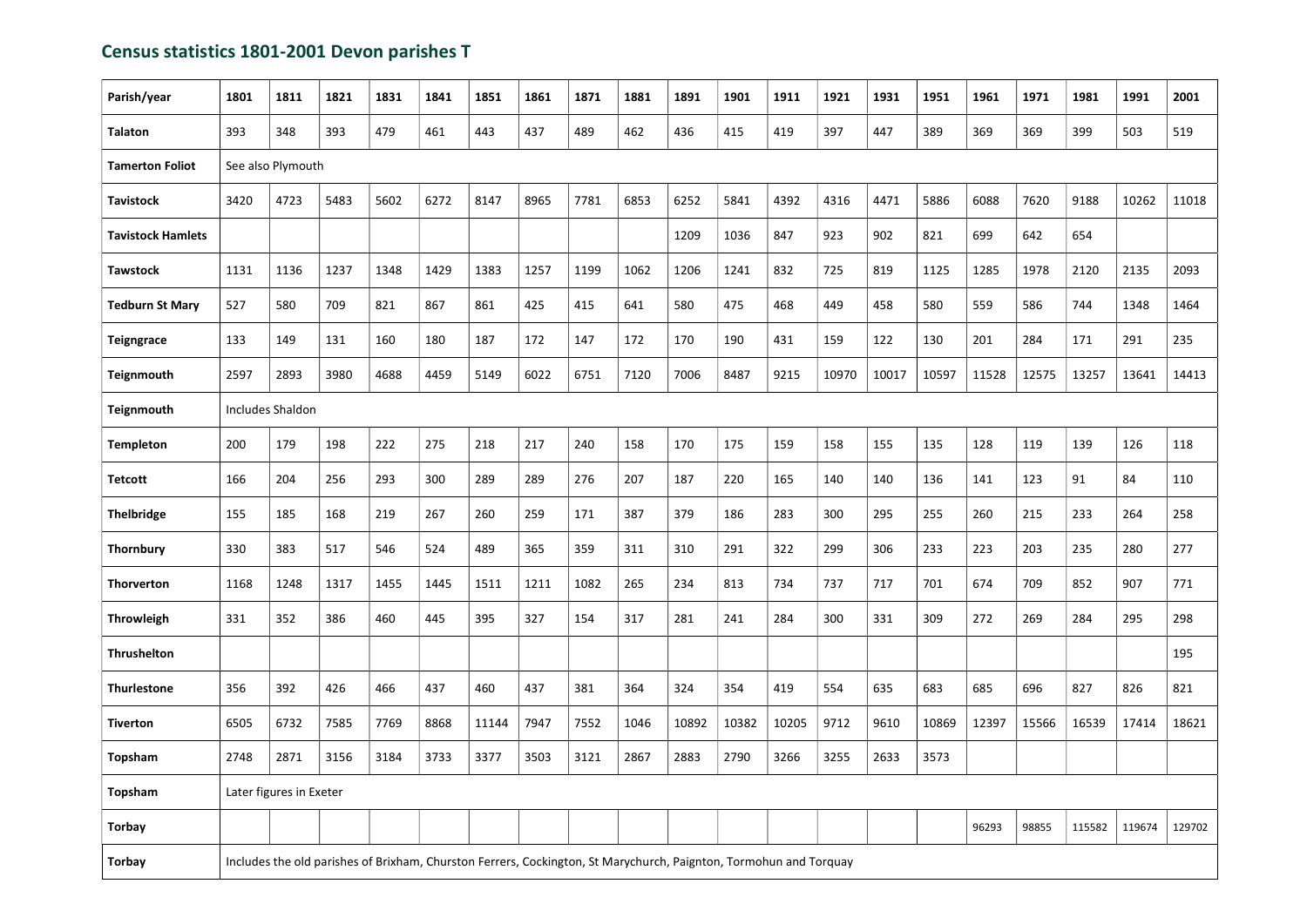## Census statistics 1801-2001 Devon parishes T

| Parish/year              | 1801              | 1811                                                                                                              | 1821 | 1831 | 1841 | 1851  | 1861 | 1871 | 1881 | 1891  | 1901  | 1911  | 1921  | 1931  | 1951  | 1961  | 1971  | 1981   | 1991   | 2001   |
|--------------------------|-------------------|-------------------------------------------------------------------------------------------------------------------|------|------|------|-------|------|------|------|-------|-------|-------|-------|-------|-------|-------|-------|--------|--------|--------|
| <b>Talaton</b>           | 393               | 348                                                                                                               | 393  | 479  | 461  | 443   | 437  | 489  | 462  | 436   | 415   | 419   | 397   | 447   | 389   | 369   | 369   | 399    | 503    | 519    |
| <b>Tamerton Foliot</b>   | See also Plymouth |                                                                                                                   |      |      |      |       |      |      |      |       |       |       |       |       |       |       |       |        |        |        |
| <b>Tavistock</b>         | 3420              | 4723                                                                                                              | 5483 | 5602 | 6272 | 8147  | 8965 | 7781 | 6853 | 6252  | 5841  | 4392  | 4316  | 4471  | 5886  | 6088  | 7620  | 9188   | 10262  | 11018  |
| <b>Tavistock Hamlets</b> |                   |                                                                                                                   |      |      |      |       |      |      |      | 1209  | 1036  | 847   | 923   | 902   | 821   | 699   | 642   | 654    |        |        |
| <b>Tawstock</b>          | 1131              | 1136                                                                                                              | 1237 | 1348 | 1429 | 1383  | 1257 | 1199 | 1062 | 1206  | 1241  | 832   | 725   | 819   | 1125  | 1285  | 1978  | 2120   | 2135   | 2093   |
| <b>Tedburn St Mary</b>   | 527               | 580                                                                                                               | 709  | 821  | 867  | 861   | 425  | 415  | 641  | 580   | 475   | 468   | 449   | 458   | 580   | 559   | 586   | 744    | 1348   | 1464   |
| <b>Teigngrace</b>        | 133               | 149                                                                                                               | 131  | 160  | 180  | 187   | 172  | 147  | 172  | 170   | 190   | 431   | 159   | 122   | 130   | 201   | 284   | 171    | 291    | 235    |
| <b>Teignmouth</b>        | 2597              | 2893                                                                                                              | 3980 | 4688 | 4459 | 5149  | 6022 | 6751 | 7120 | 7006  | 8487  | 9215  | 10970 | 10017 | 10597 | 11528 | 12575 | 13257  | 13641  | 14413  |
| <b>Teignmouth</b>        | Includes Shaldon  |                                                                                                                   |      |      |      |       |      |      |      |       |       |       |       |       |       |       |       |        |        |        |
| <b>Templeton</b>         | 200               | 179                                                                                                               | 198  | 222  | 275  | 218   | 217  | 240  | 158  | 170   | 175   | 159   | 158   | 155   | 135   | 128   | 119   | 139    | 126    | 118    |
| <b>Tetcott</b>           | 166               | 204                                                                                                               | 256  | 293  | 300  | 289   | 289  | 276  | 207  | 187   | 220   | 165   | 140   | 140   | 136   | 141   | 123   | 91     | 84     | 110    |
| <b>Thelbridge</b>        | 155               | 185                                                                                                               | 168  | 219  | 267  | 260   | 259  | 171  | 387  | 379   | 186   | 283   | 300   | 295   | 255   | 260   | 215   | 233    | 264    | 258    |
| <b>Thornbury</b>         | 330               | 383                                                                                                               | 517  | 546  | 524  | 489   | 365  | 359  | 311  | 310   | 291   | 322   | 299   | 306   | 233   | 223   | 203   | 235    | 280    | 277    |
| <b>Thorverton</b>        | 1168              | 1248                                                                                                              | 1317 | 1455 | 1445 | 1511  | 1211 | 1082 | 265  | 234   | 813   | 734   | 737   | 717   | 701   | 674   | 709   | 852    | 907    | 771    |
| <b>Throwleigh</b>        | 331               | 352                                                                                                               | 386  | 460  | 445  | 395   | 327  | 154  | 317  | 281   | 241   | 284   | 300   | 331   | 309   | 272   | 269   | 284    | 295    | 298    |
| <b>Thrushelton</b>       |                   |                                                                                                                   |      |      |      |       |      |      |      |       |       |       |       |       |       |       |       |        |        | 195    |
| <b>Thurlestone</b>       | 356               | 392                                                                                                               | 426  | 466  | 437  | 460   | 437  | 381  | 364  | 324   | 354   | 419   | 554   | 635   | 683   | 685   | 696   | 827    | 826    | 821    |
| <b>Tiverton</b>          | 6505              | 6732                                                                                                              | 7585 | 7769 | 8868 | 11144 | 7947 | 7552 | 1046 | 10892 | 10382 | 10205 | 9712  | 9610  | 10869 | 12397 | 15566 | 16539  | 17414  | 18621  |
| Topsham                  | 2748              | 2871                                                                                                              | 3156 | 3184 | 3733 | 3377  | 3503 | 3121 | 2867 | 2883  | 2790  | 3266  | 3255  | 2633  | 3573  |       |       |        |        |        |
| Topsham                  |                   | Later figures in Exeter                                                                                           |      |      |      |       |      |      |      |       |       |       |       |       |       |       |       |        |        |        |
| <b>Torbay</b>            |                   |                                                                                                                   |      |      |      |       |      |      |      |       |       |       |       |       |       | 96293 | 98855 | 115582 | 119674 | 129702 |
| <b>Torbay</b>            |                   | Includes the old parishes of Brixham, Churston Ferrers, Cockington, St Marychurch, Paignton, Tormohun and Torquay |      |      |      |       |      |      |      |       |       |       |       |       |       |       |       |        |        |        |